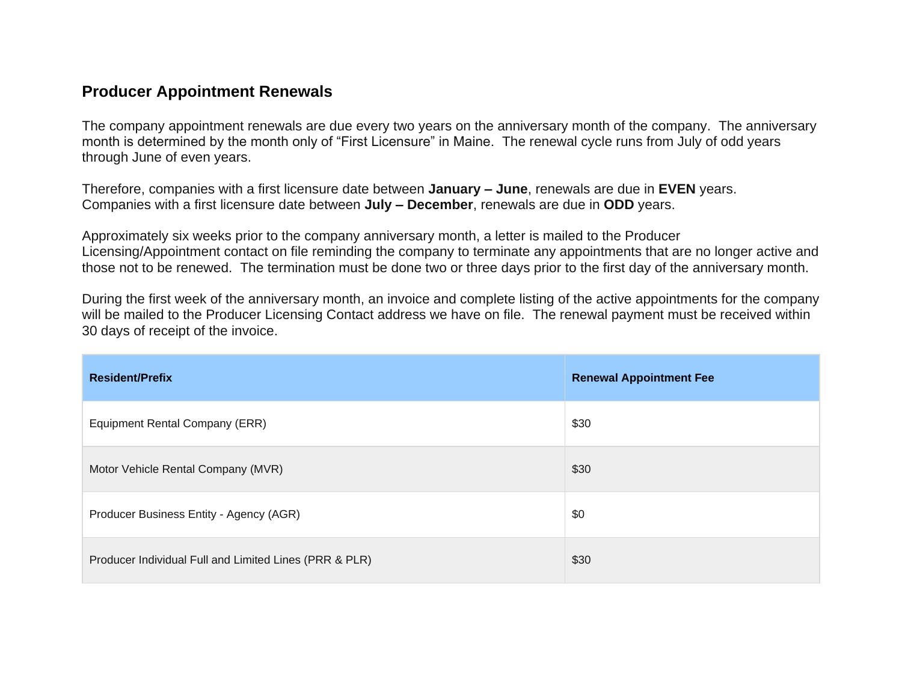## **Producer Appointment Renewals**

The company appointment renewals are due every two years on the anniversary month of the company. The anniversary month is determined by the month only of "First Licensure" in Maine. The renewal cycle runs from July of odd years through June of even years.

Therefore, companies with a first licensure date between **January – June**, renewals are due in **EVEN** years. Companies with a first licensure date between **July – December**, renewals are due in **ODD** years.

Approximately six weeks prior to the company anniversary month, a letter is mailed to the Producer Licensing/Appointment contact on file reminding the company to terminate any appointments that are no longer active and those not to be renewed. The termination must be done two or three days prior to the first day of the anniversary month.

During the first week of the anniversary month, an invoice and complete listing of the active appointments for the company will be mailed to the Producer Licensing Contact address we have on file. The renewal payment must be received within 30 days of receipt of the invoice.

| <b>Resident/Prefix</b>                                 | <b>Renewal Appointment Fee</b> |
|--------------------------------------------------------|--------------------------------|
| Equipment Rental Company (ERR)                         | \$30                           |
| Motor Vehicle Rental Company (MVR)                     | \$30                           |
| Producer Business Entity - Agency (AGR)                | \$0                            |
| Producer Individual Full and Limited Lines (PRR & PLR) | \$30                           |